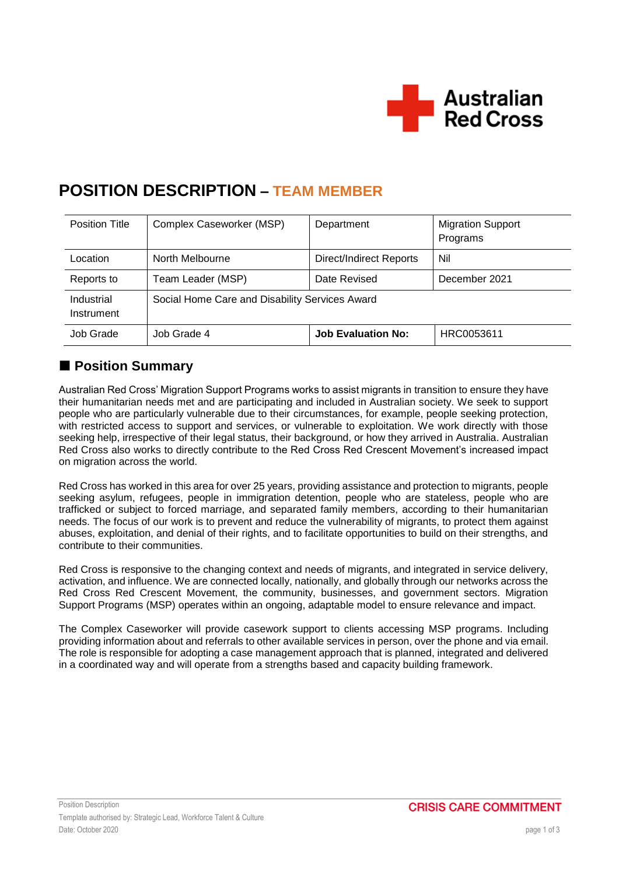

# **POSITION DESCRIPTION – TEAM MEMBER**

| <b>Position Title</b>    | Complex Caseworker (MSP)                       | Department                | <b>Migration Support</b><br>Programs |
|--------------------------|------------------------------------------------|---------------------------|--------------------------------------|
| Location                 | North Melbourne                                | Direct/Indirect Reports   | Nil                                  |
| Reports to               | Team Leader (MSP)                              | Date Revised              | December 2021                        |
| Industrial<br>Instrument | Social Home Care and Disability Services Award |                           |                                      |
| Job Grade                | Job Grade 4                                    | <b>Job Evaluation No:</b> | HRC0053611                           |

# ■ Position Summary

Australian Red Cross' Migration Support Programs works to assist migrants in transition to ensure they have their humanitarian needs met and are participating and included in Australian society. We seek to support people who are particularly vulnerable due to their circumstances, for example, people seeking protection, with restricted access to support and services, or vulnerable to exploitation. We work directly with those seeking help, irrespective of their legal status, their background, or how they arrived in Australia. Australian Red Cross also works to directly contribute to the Red Cross Red Crescent Movement's increased impact on migration across the world.

Red Cross has worked in this area for over 25 years, providing assistance and protection to migrants, people seeking asylum, refugees, people in immigration detention, people who are stateless, people who are trafficked or subject to forced marriage, and separated family members, according to their humanitarian needs. The focus of our work is to prevent and reduce the vulnerability of migrants, to protect them against abuses, exploitation, and denial of their rights, and to facilitate opportunities to build on their strengths, and contribute to their communities.

Red Cross is responsive to the changing context and needs of migrants, and integrated in service delivery, activation, and influence. We are connected locally, nationally, and globally through our networks across the Red Cross Red Crescent Movement, the community, businesses, and government sectors. Migration Support Programs (MSP) operates within an ongoing, adaptable model to ensure relevance and impact.

The Complex Caseworker will provide casework support to clients accessing MSP programs. Including providing information about and referrals to other available services in person, over the phone and via email. The role is responsible for adopting a case management approach that is planned, integrated and delivered in a coordinated way and will operate from a strengths based and capacity building framework.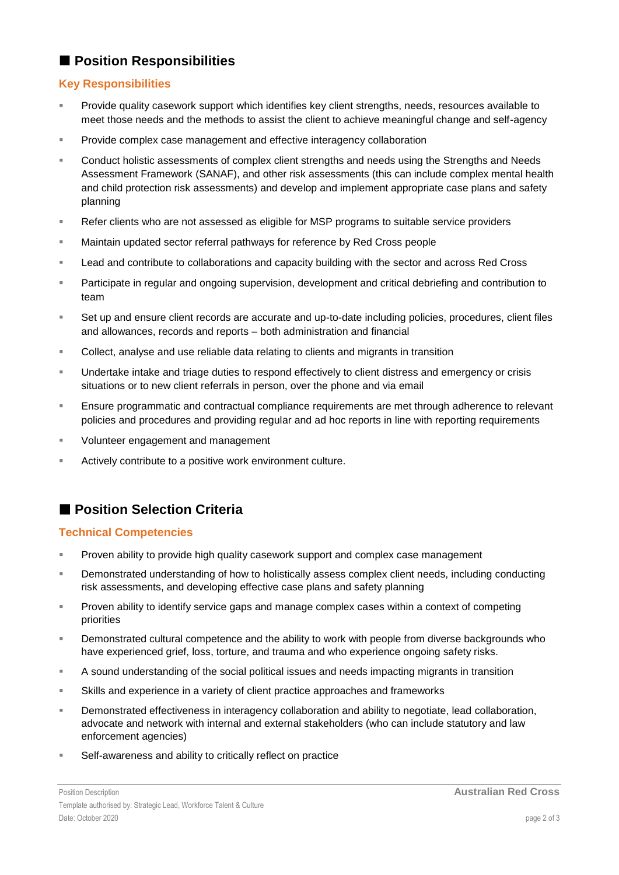### **Position Responsibilities**

#### **Key Responsibilities**

- Provide quality casework support which identifies key client strengths, needs, resources available to meet those needs and the methods to assist the client to achieve meaningful change and self-agency
- **Provide complex case management and effective interagency collaboration**
- Conduct holistic assessments of complex client strengths and needs using the Strengths and Needs Assessment Framework (SANAF), and other risk assessments (this can include complex mental health and child protection risk assessments) and develop and implement appropriate case plans and safety planning
- **Refer clients who are not assessed as eligible for MSP programs to suitable service providers**
- Maintain updated sector referral pathways for reference by Red Cross people
- **Lead and contribute to collaborations and capacity building with the sector and across Red Cross**
- Participate in regular and ongoing supervision, development and critical debriefing and contribution to team
- Set up and ensure client records are accurate and up-to-date including policies, procedures, client files and allowances, records and reports – both administration and financial
- Collect, analyse and use reliable data relating to clients and migrants in transition
- Undertake intake and triage duties to respond effectively to client distress and emergency or crisis situations or to new client referrals in person, over the phone and via email
- Ensure programmatic and contractual compliance requirements are met through adherence to relevant policies and procedures and providing regular and ad hoc reports in line with reporting requirements
- **Volunteer engagement and management**
- **EXECT** Actively contribute to a positive work environment culture.

# **Position Selection Criteria**

#### **Technical Competencies**

- **Proven ability to provide high quality casework support and complex case management**
- **Demonstrated understanding of how to holistically assess complex client needs, including conducting** risk assessments, and developing effective case plans and safety planning
- **Proven ability to identify service gaps and manage complex cases within a context of competing** priorities
- **EXECT** Demonstrated cultural competence and the ability to work with people from diverse backgrounds who have experienced grief, loss, torture, and trauma and who experience ongoing safety risks.
- A sound understanding of the social political issues and needs impacting migrants in transition
- Skills and experience in a variety of client practice approaches and frameworks
- **Demonstrated effectiveness in interagency collaboration and ability to negotiate, lead collaboration,** advocate and network with internal and external stakeholders (who can include statutory and law enforcement agencies)
- Self-awareness and ability to critically reflect on practice